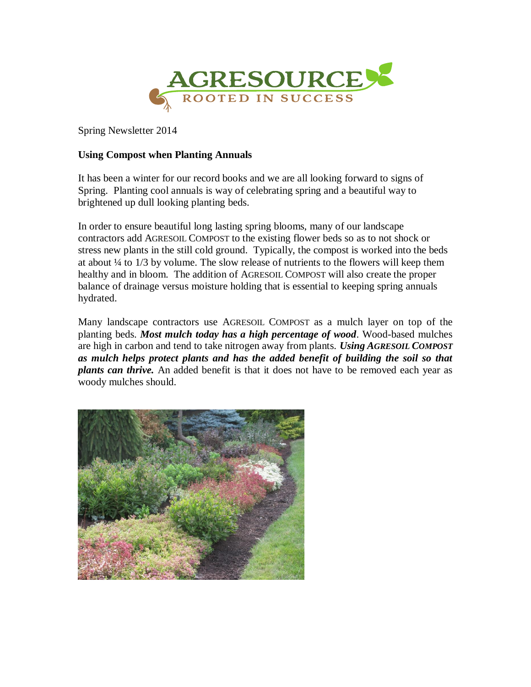

Spring Newsletter 2014

## **Using Compost when Planting Annuals**

It has been a winter for our record books and we are all looking forward to signs of Spring. Planting cool annuals is way of celebrating spring and a beautiful way to brightened up dull looking planting beds.

In order to ensure beautiful long lasting spring blooms, many of our landscape contractors add AGRESOIL COMPOST to the existing flower beds so as to not shock or stress new plants in the still cold ground. Typically, the compost is worked into the beds at about ¼ to 1/3 by volume. The slow release of nutrients to the flowers will keep them healthy and in bloom. The addition of AGRESOIL COMPOST will also create the proper balance of drainage versus moisture holding that is essential to keeping spring annuals hydrated.

Many landscape contractors use AGRESOIL COMPOST as a mulch layer on top of the planting beds. *Most mulch today has a high percentage of wood*. Wood-based mulches are high in carbon and tend to take nitrogen away from plants. *Using AGRESOIL COMPOST as mulch helps protect plants and has the added benefit of building the soil so that plants can thrive.* An added benefit is that it does not have to be removed each year as woody mulches should.

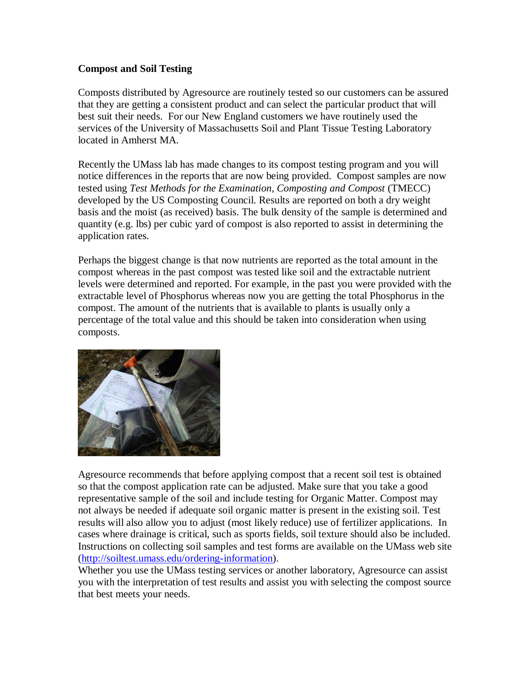## **Compost and Soil Testing**

Composts distributed by Agresource are routinely tested so our customers can be assured that they are getting a consistent product and can select the particular product that will best suit their needs. For our New England customers we have routinely used the services of the University of Massachusetts Soil and Plant Tissue Testing Laboratory located in Amherst MA.

Recently the UMass lab has made changes to its compost testing program and you will notice differences in the reports that are now being provided. Compost samples are now tested using *Test Methods for the Examination, Composting and Compost* (TMECC) developed by the US Composting Council. Results are reported on both a dry weight basis and the moist (as received) basis. The bulk density of the sample is determined and quantity (e.g. lbs) per cubic yard of compost is also reported to assist in determining the application rates.

Perhaps the biggest change is that now nutrients are reported as the total amount in the compost whereas in the past compost was tested like soil and the extractable nutrient levels were determined and reported. For example, in the past you were provided with the extractable level of Phosphorus whereas now you are getting the total Phosphorus in the compost. The amount of the nutrients that is available to plants is usually only a percentage of the total value and this should be taken into consideration when using composts.



Agresource recommends that before applying compost that a recent soil test is obtained so that the compost application rate can be adjusted. Make sure that you take a good representative sample of the soil and include testing for Organic Matter. Compost may not always be needed if adequate soil organic matter is present in the existing soil. Test results will also allow you to adjust (most likely reduce) use of fertilizer applications. In cases where drainage is critical, such as sports fields, soil texture should also be included. Instructions on collecting soil samples and test forms are available on the UMass web site [\(http://soiltest.umass.edu/ordering-information\)](http://soiltest.umass.edu/ordering-information).

Whether you use the UMass testing services or another laboratory, Agresource can assist you with the interpretation of test results and assist you with selecting the compost source that best meets your needs.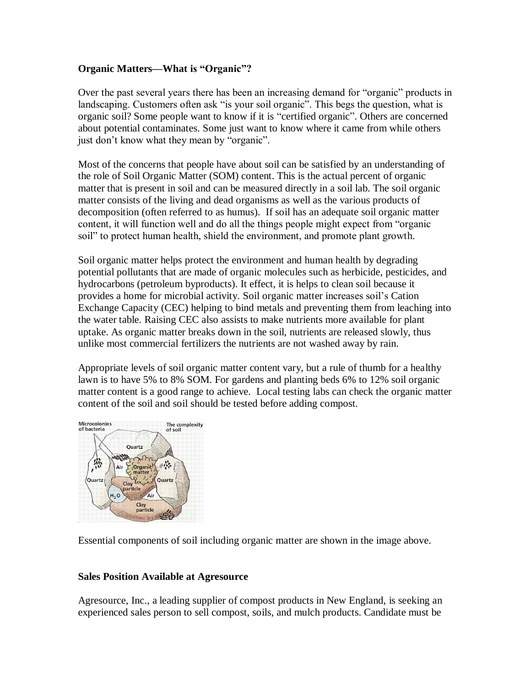## **Organic Matters—What is "Organic"?**

Over the past several years there has been an increasing demand for "organic" products in landscaping. Customers often ask "is your soil organic". This begs the question, what is organic soil? Some people want to know if it is "certified organic". Others are concerned about potential contaminates. Some just want to know where it came from while others just don't know what they mean by "organic".

Most of the concerns that people have about soil can be satisfied by an understanding of the role of Soil Organic Matter (SOM) content. This is the actual percent of organic matter that is present in soil and can be measured directly in a soil lab. The soil organic matter consists of the living and dead organisms as well as the various products of decomposition (often referred to as humus). If soil has an adequate soil organic matter content, it will function well and do all the things people might expect from "organic soil" to protect human health, shield the environment, and promote plant growth.

Soil organic matter helps protect the environment and human health by degrading potential pollutants that are made of organic molecules such as herbicide, pesticides, and hydrocarbons (petroleum byproducts). It effect, it is helps to clean soil because it provides a home for microbial activity. Soil organic matter increases soil's Cation Exchange Capacity (CEC) helping to bind metals and preventing them from leaching into the water table. Raising CEC also assists to make nutrients more available for plant uptake. As organic matter breaks down in the soil, nutrients are released slowly, thus unlike most commercial fertilizers the nutrients are not washed away by rain.

Appropriate levels of soil organic matter content vary, but a rule of thumb for a healthy lawn is to have 5% to 8% SOM. For gardens and planting beds 6% to 12% soil organic matter content is a good range to achieve. Local testing labs can check the organic matter content of the soil and soil should be tested before adding compost.



Essential components of soil including organic matter are shown in the image above.

## **Sales Position Available at Agresource**

Agresource, Inc., a leading supplier of compost products in New England, is seeking an experienced sales person to sell compost, soils, and mulch products. Candidate must be